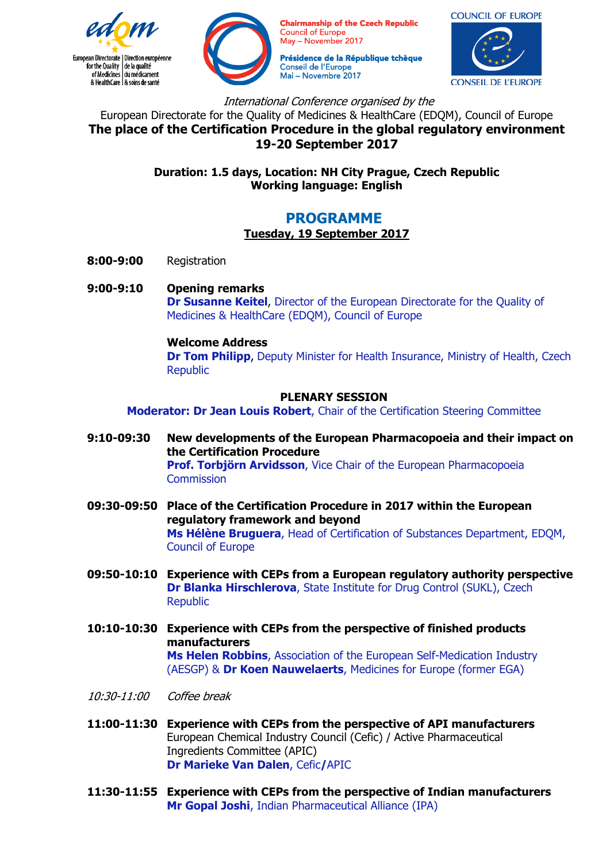



**Chairmanship of the Czech Republic Council of Europe** May - November 2017

Présidence de la République tchèque Conseil de l'Europe Mai - Novembre 2017



International Conference organised by the

European Directorate for the Quality of Medicines & HealthCare (EDQM), Council of Europe **The place of the Certification Procedure in the global regulatory environment 19-20 September 2017** 

> **Duration: 1.5 days, Location: NH City Prague, Czech Republic Working language: English**

# **PROGRAMME**

# **Tuesday, 19 September 2017**

- **8:00-9:00** Registration
- **9:00-9:10 Opening remarks Dr Susanne Keitel**, Director of the European Directorate for the Quality of Medicines & HealthCare (EDQM), Council of Europe

#### **Welcome Address**

**Dr Tom Philipp**, Deputy Minister for Health Insurance, Ministry of Health, Czech Republic

#### **PLENARY SESSION**

**Moderator: Dr Jean Louis Robert**, Chair of the Certification Steering Committee

- **9:10-09:30 New developments of the European Pharmacopoeia and their impact on the Certification Procedure Prof. Torbjörn Arvidsson**, Vice Chair of the European Pharmacopoeia **Commission**
- **09:30-09:50 Place of the Certification Procedure in 2017 within the European regulatory framework and beyond Ms Hélène Bruguera**, Head of Certification of Substances Department, EDQM, Council of Europe
- **09:50-10:10 Experience with CEPs from a European regulatory authority perspective Dr Blanka Hirschlerova**, State Institute for Drug Control (SUKL), Czech Republic
- **10:10-10:30 Experience with CEPs from the perspective of finished products manufacturers Ms Helen Robbins**, Association of the European Self-Medication Industry (AESGP) & **Dr Koen Nauwelaerts**, Medicines for Europe (former EGA)
- 10:30-11:00 Coffee break
- **11:00-11:30 Experience with CEPs from the perspective of API manufacturers**  European Chemical Industry Council (Cefic) / Active Pharmaceutical Ingredients Committee (APIC) **Dr Marieke Van Dalen**, Cefic**/**APIC
- **11:30-11:55 Experience with CEPs from the perspective of Indian manufacturers Mr Gopal Joshi**, Indian Pharmaceutical Alliance (IPA)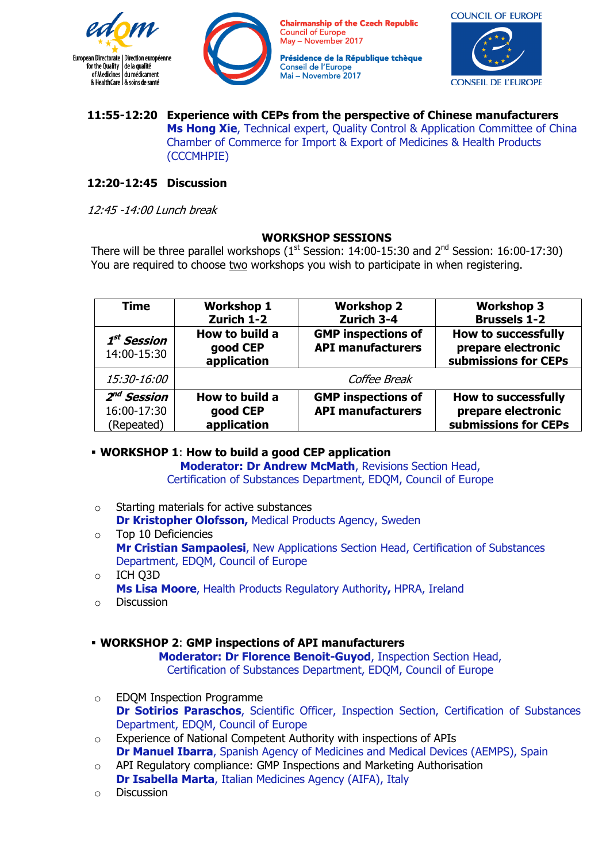



**Chairmanship of the Czech Republic Council of Europe** May - November 2017

Présidence de la République tchèque Conseil de l'Europe Mai - Novembre 2017



#### **11:55-12:20 Experience with CEPs from the perspective of Chinese manufacturers Ms Hong Xie**, Technical expert, Quality Control & Application Committee of China Chamber of Commerce for Import & Export of Medicines & Health Products (CCCMHPIE)

# **12:20-12:45 Discussion**

12:45 -14:00 Lunch break

# **WORKSHOP SESSIONS**

There will be three parallel workshops  $(1<sup>st</sup> Session: 14:00-15:30$  and  $2<sup>nd</sup> Session: 16:00-17:30)$ You are required to choose two workshops you wish to participate in when registering.

| <b>Time</b>                                          | <b>Workshop 1</b><br>Zurich 1-2           | <b>Workshop 2</b><br>Zurich 3-4                       | <b>Workshop 3</b><br><b>Brussels 1-2</b>                                 |
|------------------------------------------------------|-------------------------------------------|-------------------------------------------------------|--------------------------------------------------------------------------|
| $1^{st}$ Session<br>14:00-15:30                      | How to build a<br>good CEP<br>application | <b>GMP</b> inspections of<br><b>API manufacturers</b> | <b>How to successfully</b><br>prepare electronic<br>submissions for CEPs |
| <i>15:30-16:00</i>                                   |                                           | Coffee Break                                          |                                                                          |
| 2 <sup>nd</sup> Session<br>16:00-17:30<br>(Repeated) | How to build a<br>good CEP<br>application | <b>GMP</b> inspections of<br><b>API manufacturers</b> | <b>How to successfully</b><br>prepare electronic<br>submissions for CEPs |

# **WORKSHOP 1**: **How to build a good CEP application**

**Moderator: Dr Andrew McMath**, Revisions Section Head, Certification of Substances Department, EDQM, Council of Europe

- o Starting materials for active substances **Dr Kristopher Olofsson,** Medical Products Agency, Sweden
- o Top 10 Deficiencies **Mr Cristian Sampaolesi**, New Applications Section Head, Certification of Substances Department, EDQM, Council of Europe
- o ICH Q3D **Ms Lisa Moore**, Health Products Regulatory Authority**,** HPRA, Ireland
- o Discussion

# **WORKSHOP 2**: **GMP inspections of API manufacturers**

**Moderator: Dr Florence Benoit-Guyod**, Inspection Section Head, Certification of Substances Department, EDQM, Council of Europe

- o EDQM Inspection Programme **Dr Sotirios Paraschos**, Scientific Officer, Inspection Section, Certification of Substances Department, EDQM, Council of Europe
- o Experience of National Competent Authority with inspections of APIs **Dr Manuel Ibarra**, Spanish Agency of Medicines and Medical Devices (AEMPS), Spain
- o API Regulatory compliance: GMP Inspections and Marketing Authorisation **Dr Isabella Marta**, Italian Medicines Agency (AIFA), Italy
- o Discussion